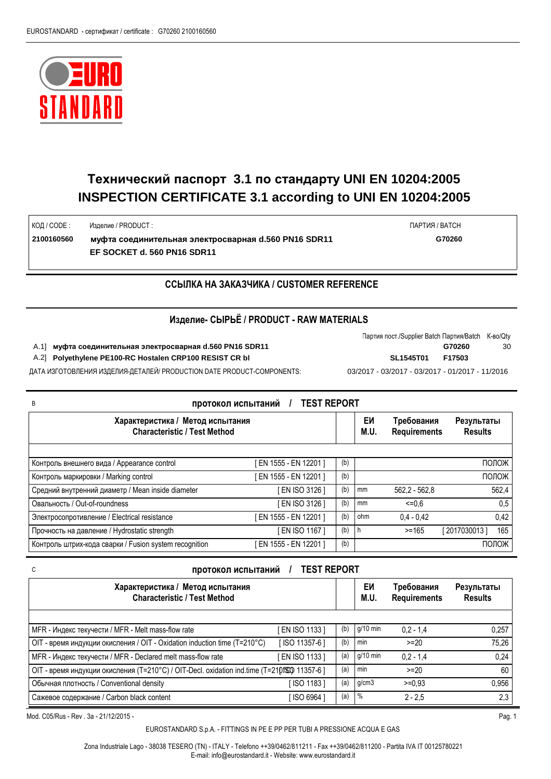

КОД / CODE :

## **Технический паспорт 3.1 по стандарту UNI EN 10204:2005 INSPECTION CERTIFICATE 3.1 according to UNI EN 10204:2005**

Изделие / PRODUCT :

**2100160560 муфта соединительная электросварная d.560 PN16 SDR11 G70260 EF SOCKET d. 560 PN16 SDR11**

ПАРТИЯ / BATCH

## **ССЫЛКА НА ЗАКАЗЧИКА / CUSTOMER REFERENCE**

## **Изделие- СЫРЬЁ / PRODUCT - RAW MATERIALS**

A.1] **муфта соединительная электросварная d.560 PN16 SDR11 G70260** 30

A.2] Polyethylene PE100-RC Hostalen CRP100 RESIST CR bl

| Партия пост./Supplier Batch Партия/Batch K-во/Qty |        |    |
|---------------------------------------------------|--------|----|
|                                                   | G70260 | 30 |
| SL1545T01                                         | F17503 |    |

ДАТА ИЗГОТОВЛЕНИЯ ИЗДЕЛИЯ-ДЕТАЛЕЙ/ PRODUCTION DATE PRODUCT-COMPONENTS: 03/2017 - 03/2017 - 03/2017 - 01/2017 - 11/2016

| <b>TEST REPORT</b><br>B<br>протокол испытаний                           |                      |     |            |                                   |                              |
|-------------------------------------------------------------------------|----------------------|-----|------------|-----------------------------------|------------------------------|
| Характеристика / Метод испытания<br><b>Characteristic / Test Method</b> |                      |     | EИ<br>M.U. | Требования<br><b>Requirements</b> | Результаты<br><b>Results</b> |
| Контроль внешнего вида / Appearance control                             | EN 1555 - EN 12201 ] | (b) |            |                                   | ПОЛОЖ                        |
| Контроль маркировки / Marking control                                   | EN 1555 - EN 12201 ] | (b) |            |                                   | ПОЛОЖ                        |
| Средний внутренний диаметр / Mean inside diameter                       | EN ISO 3126 ]        | (b) | mm         | $562.2 - 562.8$                   | 562,4                        |
| Овальность / Out-of-roundness                                           | EN ISO 3126 ]        | (b) | mm         | $\leq 0.6$                        | 0,5                          |
| Электросопротивление / Electrical resistance                            | EN 1555 - EN 12201 ] | (b) | ohm        | $0,4 - 0,42$                      | 0,42                         |
| Прочность на давление / Hydrostatic strength                            | EN ISO 1167 ]        | (b) | h          | $> = 165$                         | 165<br>[2017030013]          |
| Контроль штрих-кода сварки / Fusion system recognition                  | EN 1555 - EN 12201 ] | (b) |            |                                   | ПОЛОЖ                        |

| <b>TEST REPORT</b><br>протокол испытаний<br>C                                                |               |     |            |                                   |                              |  |
|----------------------------------------------------------------------------------------------|---------------|-----|------------|-----------------------------------|------------------------------|--|
| Характеристика / Метод испытания<br><b>Characteristic / Test Method</b>                      |               |     | EИ<br>M.U. | Требования<br><b>Requirements</b> | Результаты<br><b>Results</b> |  |
| MFR - Индекс текучести / MFR - Melt mass-flow rate                                           | EN ISO 1133 ] | (b) | g/10 min   | $0.2 - 1.4$                       | 0,257                        |  |
| OIT - время индукции окисления / OIT - Oxidation induction time (T=210°C)                    | [ISO 11357-6] | (b) | min        | $>= 20$                           | 75,26                        |  |
| MFR - Индекс текучести / MFR - Declared melt mass-flow rate                                  | EN ISO 1133 ] | (a) | g/10 min   | $0.2 - 1.4$                       | 0,24                         |  |
| OIT - время индукции окисления (T=210°С) / OIT-Decl. oxidation ind.time (T=210fSD) 11357-6 ] |               | (a) | min        | $>= 20$                           | 60                           |  |
| Обычная плотность / Conventional density                                                     | [ISO 1183]    | (a) | g/cm3      | $>=0.93$                          | 0,956                        |  |
| Сажевое содержание / Carbon black content                                                    | ISO 6964 1    | (a) | $\%$       | $2 - 2.5$                         | 2,3                          |  |

Mod. C05/Rus - Rev . 3a - 21/12/2015 - Pag. 1

EUROSTANDARD S.p.A. - FITTINGS IN PE E PP PER TUBI A PRESSIONE ACQUA E GAS

Zona Industriale Lago - 38038 TESERO (TN) - ITALY - Telefono ++39/0462/811211 - Fax ++39/0462/811200 - Partita IVA IT 00125780221 E-mail: info@eurostandard.it - Website: www.eurostandard.it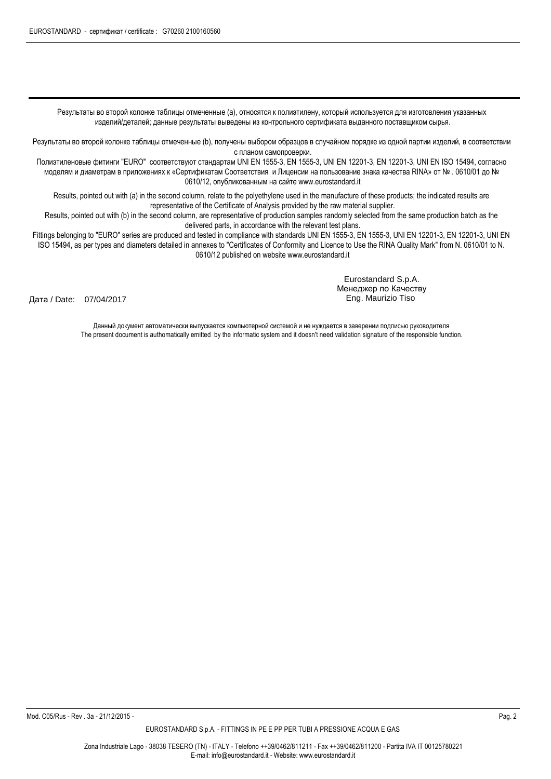Результаты во второй колонке таблицы отмеченные (a), относятся к полиэтилену, который используется для изготовления указанных изделий/деталей; данные результаты выведены из контрольного сертификата выданного поставщиком сырья.

Результаты во второй колонке таблицы отмеченные (b), получены выбором образцов в случайном порядке из одной партии изделий, в соответствии с планом самопроверки.

Полиэтиленовые фитинги "EURO" соответствуют стандартам UNI EN 1555-3, EN 1555-3, UNI EN 12201-3, EN 12201-3, UNI EN ISO 15494, согласно моделям и диаметрам в приложениях к «Сертификатам Соответствия и Лиценсии на пользование знака качества RINA» от № . 0610/01 до № 0610/12, опубликованным на сайте www.eurostandard.it

Results, pointed out with (a) in the second column, relate to the polyethylene used in the manufacture of these products; the indicated results are representative of the Certificate of Analysis provided by the raw material supplier.

Results, pointed out with (b) in the second column, are representative of production samples randomly selected from the same production batch as the delivered parts, in accordance with the relevant test plans.

Fittings belonging to "EURO" series are produced and tested in compliance with standards UNI EN 1555-3, EN 1555-3, UNI EN 12201-3, EN 12201-3, UNI EN ISO 15494, as per types and diameters detailed in annexes to "Certificates of Conformity and Licence to Use the RINA Quality Mark" from N. 0610/01 to N. 0610/12 published on website www.eurostandard.it

Дата / Date: 07/04/2017

Eurostandard S.p.A. Менеджер по Качеству Eng. Maurizio Tiso

Данный документ автоматически выпускается компьютерной системой и не нуждается в заверении подписью руководителя The present document is authomatically emitted by the informatic system and it doesn't need validation signature of the responsible function.